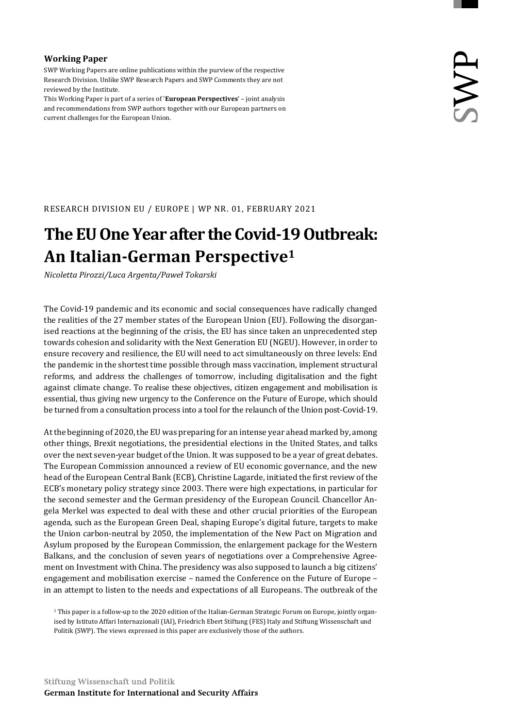#### **Working Paper**

SWP Working Papers are online publications within the purview of the respective Research Division. Unlike SWP Research Papers and SWP Comments they are not reviewed by the Institute.

This Working Paper is part of a series of '**European Perspectives**' – joint analysis and recommendations from SWP authors together with our European partners on current challenges for the European Union.

RESEARCH DIVISION EU / EUROPE | WP NR. 01, FEBRUARY 2021

# **The EUOneYear after the Covid‐19Outbreak: An Italian‐German Perspective1**

*Nicoletta Pirozzi/Luca Argenta/Paweł Tokarski*

The Covid-19 pandemic and its economic and social consequences have radically changed the realities of the 27 member states of the European Union (EU). Following the disorganised reactions at the beginning of the crisis, the EU has since taken an unprecedented step towards cohesion and solidarity with the Next Generation EU (NGEU). However, in order to ensure recovery and resilience, the EU will need to act simultaneously on three levels: End the pandemic in the shortest time possible through mass vaccination, implement structural reforms, and address the challenges of tomorrow, including digitalisation and the fight against climate change. To realise these objectives, citizen engagement and mobilisation is essential, thus giving new urgency to the Conference on the Future of Europe, which should be turned from a consultation process into a tool for the relaunch of the Union post-Covid-19.

At the beginning of 2020, the EU was preparing for an intense year ahead marked by, among other things, Brexit negotiations, the presidential elections in the United States, and talks over the next seven-year budget of the Union. It was supposed to be a year of great debates. The European Commission announced a review of EU economic governance, and the new head of the European Central Bank (ECB), Christine Lagarde, initiated the first review of the ECB's monetary policy strategy since 2003. There were high expectations, in particular for the second semester and the German presidency of the European Council. Chancellor Angela Merkel was expected to deal with these and other crucial priorities of the European agenda, such as the European Green Deal, shaping Europe's digital future, targets to make the Union carbon-neutral by 2050, the implementation of the New Pact on Migration and Asylum proposed by the European Commission, the enlargement package for the Western Balkans, and the conclusion of seven years of negotiations over a Comprehensive Agreement on Investment with China. The presidency was also supposed to launch a big citizens' engagement and mobilisation exercise – named the Conference on the Future of Europe – in an attempt to listen to the needs and expectations of all Europeans. The outbreak of the

1 This paper is a follow-up to the 2020 edition of the Italian-German Strategic Forum on Europe, jointly organised by Istituto Affari Internazionali (IAI), Friedrich Ebert Stiftung (FES) Italy and Stiftung Wissenschaft und Politik (SWP). The views expressed in this paper are exclusively those of the authors.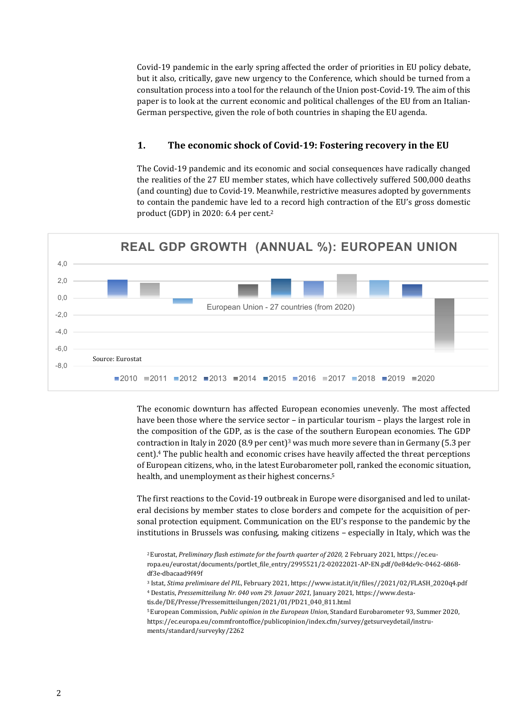Covid-19 pandemic in the early spring affected the order of priorities in EU policy debate, but it also, critically, gave new urgency to the Conference, which should be turned from a consultation process into a tool for the relaunch of the Union post-Covid-19. The aim of this paper is to look at the current economic and political challenges of the EU from an Italian-German perspective, given the role of both countries in shaping the EU agenda.

#### **1. The economic shock of Covid‐19: Fostering recovery in the EU**

The Covid-19 pandemic and its economic and social consequences have radically changed the realities of the 27 EU member states, which have collectively suffered 500,000 deaths (and counting) due to Covid-19. Meanwhile, restrictive measures adopted by governments to contain the pandemic have led to a record high contraction of the EU's gross domestic product (GDP) in 2020: 6.4 per cent.2



The economic downturn has affected European economies unevenly. The most affected have been those where the service sector – in particular tourism – plays the largest role in the composition of the GDP, as is the case of the southern European economies. The GDP contraction in Italy in 2020 (8.9 per cent)<sup>3</sup> was much more severe than in Germany (5.3 per cent).4 The public health and economic crises have heavily affected the threat perceptions of European citizens, who, in the latest Eurobarometer poll, ranked the economic situation, health, and unemployment as their highest concerns.<sup>5</sup>

The first reactions to the Covid-19 outbreak in Europe were disorganised and led to unilateral decisions by member states to close borders and compete for the acquisition of personal protection equipment. Communication on the EU's response to the pandemic by the institutions in Brussels was confusing, making citizens – especially in Italy, which was the

- 3 Istat, *Stima preliminare del PIL*, February 2021, https://www.istat.it/it/files//2021/02/FLASH\_2020q4.pdf 4 Destatis, *Pressemitteilung Nr. 040 vom 29. Januar 2021*, January 2021, https://www.desta-
- tis.de/DE/Presse/Pressemitteilungen/2021/01/PD21\_040\_811.html
- 5 European Commission, *Public opinion in the European Union*, Standard Eurobarometer 93, Summer 2020, https://ec.europa.eu/commfrontoffice/publicopinion/index.cfm/survey/getsurveydetail/instruments/standard/surveyky/2262

<sup>2</sup> Eurostat, *Preliminary flash estimate for the fourth quarter of 2020*, 2 February 2021, https://ec.europa.eu/eurostat/documents/portlet\_file\_entry/2995521/2-02022021-AP-EN.pdf/0e84de9c-0462-6868 df3e-dbacaad9f49f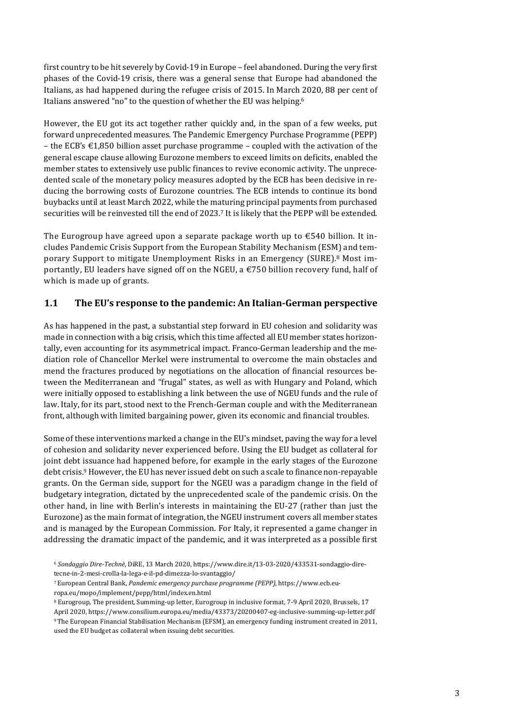first country to be hit severely by Covid-19 in Europe – feel abandoned. During the very first phases of the Covid-19 crisis, there was a general sense that Europe had abandoned the Italians, as had happened during the refugee crisis of 2015. In March 2020, 88 per cent of Italians answered "no" to the question of whether the EU was helping.6

However, the EU got its act together rather quickly and, in the span of a few weeks, put forward unprecedented measures. The Pandemic Emergency Purchase Programme (PEPP) – the ECB's €1,850 billion asset purchase programme – coupled with the activation of the general escape clause allowing Eurozone members to exceed limits on deficits, enabled the member states to extensively use public finances to revive economic activity. The unprecedented scale of the monetary policy measures adopted by the ECB has been decisive in reducing the borrowing costs of Eurozone countries. The ECB intends to continue its bond buybacks until at least March 2022, while the maturing principal payments from purchased securities will be reinvested till the end of 2023.7 It is likely that the PEPP will be extended.

The Eurogroup have agreed upon a separate package worth up to €540 billion. It includes Pandemic Crisis Support from the European Stability Mechanism (ESM) and temporary Support to mitigate Unemployment Risks in an Emergency (SURE).8 Most importantly, EU leaders have signed off on the NGEU, a  $\epsilon$ 750 billion recovery fund, half of which is made up of grants.

### **1.1 The EU's response to the pandemic: An Italian‐German perspective**

As has happened in the past, a substantial step forward in EU cohesion and solidarity was made in connection with a big crisis, which this time affected all EU member states horizontally, even accounting for its asymmetrical impact. Franco-German leadership and the mediation role of Chancellor Merkel were instrumental to overcome the main obstacles and mend the fractures produced by negotiations on the allocation of financial resources between the Mediterranean and "frugal" states, as well as with Hungary and Poland, which were initially opposed to establishing a link between the use of NGEU funds and the rule of law. Italy, for its part, stood next to the French-German couple and with the Mediterranean front, although with limited bargaining power, given its economic and financial troubles.

Some of these interventions marked a change in the EU's mindset, paving the way for a level of cohesion and solidarity never experienced before. Using the EU budget as collateral for joint debt issuance had happened before, for example in the early stages of the Eurozone debt crisis.<sup>9</sup> However, the EU has never issued debt on such a scale to finance non-repayable grants. On the German side, support for the NGEU was a paradigm change in the field of budgetary integration, dictated by the unprecedented scale of the pandemic crisis. On the other hand, in line with Berlin's interests in maintaining the EU-27 (rather than just the Eurozone) as the main format of integration, the NGEU instrument covers all member states and is managed by the European Commission. For Italy, it represented a game changer in addressing the dramatic impact of the pandemic, and it was interpreted as a possible first

<sup>6</sup> *Sondaggio Dire‐Technè*, DiRE, 13 March 2020, https://www.dire.it/13-03-2020/433531-sondaggio-dire-

tecne-in-2-mesi-crolla-la-lega-e-il-pd-dimezza-lo-svantaggio/

<sup>7</sup> European Central Bank, *Pandemic emergency purchase programme (PEPP)*, https://www.ecb.eu-

ropa.eu/mopo/implement/pepp/html/index.en.html

<sup>8</sup> Eurogroup, The president, Summing-up letter, Eurogroup in inclusive format, 7-9 April 2020, Brussels, 17 April 2020, https://www.consilium.europa.eu/media/43373/20200407-eg-inclusive-summing-up-letter.pdf 9 The European Financial Stabilisation Mechanism (EFSM), an emergency funding instrument created in 2011, used the EU budget as collateral when issuing debt securities.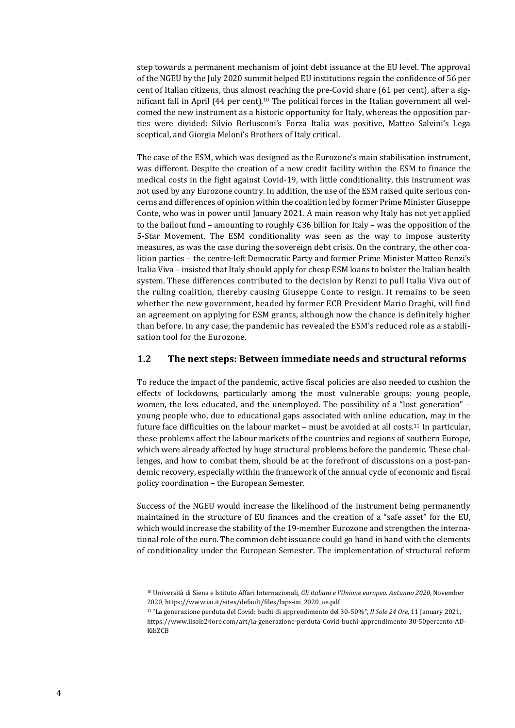step towards a permanent mechanism of joint debt issuance at the EU level. The approval of the NGEU by the July 2020 summit helped EU institutions regain the confidence of 56 per cent of Italian citizens, thus almost reaching the pre-Covid share (61 per cent), after a significant fall in April (44 per cent).<sup>10</sup> The political forces in the Italian government all welcomed the new instrument as a historic opportunity for Italy, whereas the opposition parties were divided: Silvio Berlusconi's Forza Italia was positive, Matteo Salvini's Lega sceptical, and Giorgia Meloni's Brothers of Italy critical.

The case of the ESM, which was designed as the Eurozone's main stabilisation instrument, was different. Despite the creation of a new credit facility within the ESM to finance the medical costs in the fight against Covid-19, with little conditionality, this instrument was not used by any Eurozone country. In addition, the use of the ESM raised quite serious concerns and differences of opinion within the coalition led by former Prime Minister Giuseppe Conte, who was in power until January 2021. A main reason why Italy has not yet applied to the bailout fund – amounting to roughly  $\epsilon$ 36 billion for Italy – was the opposition of the 5-Star Movement. The ESM conditionality was seen as the way to impose austerity measures, as was the case during the sovereign debt crisis. On the contrary, the other coalition parties – the centre-left Democratic Party and former Prime Minister Matteo Renzi's Italia Viva – insisted that Italy should apply for cheap ESM loans to bolster the Italian health system. These differences contributed to the decision by Renzi to pull Italia Viva out of the ruling coalition, thereby causing Giuseppe Conte to resign. It remains to be seen whether the new government, headed by former ECB President Mario Draghi, will find an agreement on applying for ESM grants, although now the chance is definitely higher than before. In any case, the pandemic has revealed the ESM's reduced role as a stabilisation tool for the Eurozone.

#### **1.2 The next steps: Between immediate needs and structural reforms**

To reduce the impact of the pandemic, active fiscal policies are also needed to cushion the effects of lockdowns, particularly among the most vulnerable groups: young people, women, the less educated, and the unemployed. The possibility of a "lost generation" – young people who, due to educational gaps associated with online education, may in the future face difficulties on the labour market – must be avoided at all costs.11 In particular, these problems affect the labour markets of the countries and regions of southern Europe, which were already affected by huge structural problems before the pandemic. These challenges, and how to combat them, should be at the forefront of discussions on a post-pandemic recovery, especially within the framework of the annual cycle of economic and fiscal policy coordination – the European Semester.

Success of the NGEU would increase the likelihood of the instrument being permanently maintained in the structure of EU finances and the creation of a "safe asset" for the EU, which would increase the stability of the 19-member Eurozone and strengthen the international role of the euro. The common debt issuance could go hand in hand with the elements of conditionality under the European Semester. The implementation of structural reform

<sup>10</sup> Università di Siena e Istituto Affari Internazionali, *Gli italiani e l'Unione europea. Autunno 2020,* November 2020, https://www.iai.it/sites/default/files/laps-iai\_2020\_ue.pdf

<sup>11 &</sup>quot;La generazione perduta del Covid: buchi di apprendimento del 30-50%", *Il Sole 24 Ore*, 11 January 2021,

https://www.ilsole24ore.com/art/la-generazione-perduta-Covid-buchi-apprendimento-30-50percento-AD-KibZCB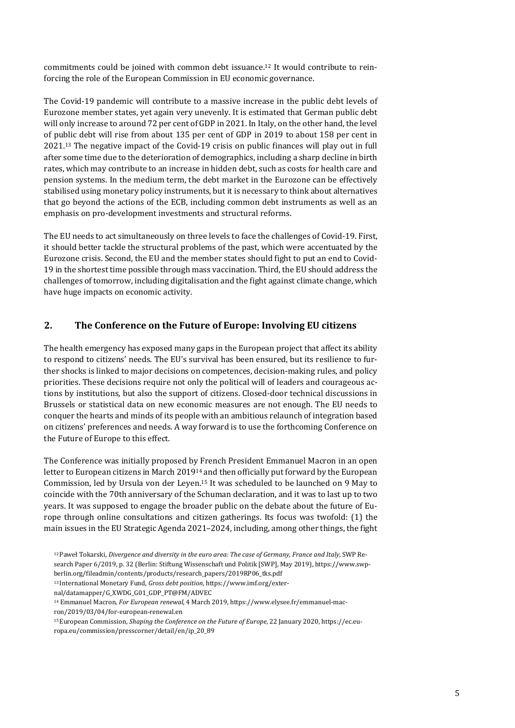commitments could be joined with common debt issuance.<sup>12</sup> It would contribute to reinforcing the role of the European Commission in EU economic governance.

The Covid-19 pandemic will contribute to a massive increase in the public debt levels of Eurozone member states, yet again very unevenly. It is estimated that German public debt will only increase to around 72 per cent of GDP in 2021. In Italy, on the other hand, the level of public debt will rise from about 135 per cent of GDP in 2019 to about 158 per cent in 2021.13 The negative impact of the Covid-19 crisis on public finances will play out in full after some time due to the deterioration of demographics, including a sharp decline in birth rates, which may contribute to an increase in hidden debt, such as costs for health care and pension systems. In the medium term, the debt market in the Eurozone can be effectively stabilised using monetary policy instruments, but it is necessary to think about alternatives that go beyond the actions of the ECB, including common debt instruments as well as an emphasis on pro-development investments and structural reforms.

The EU needs to act simultaneously on three levels to face the challenges of Covid-19. First, it should better tackle the structural problems of the past, which were accentuated by the Eurozone crisis. Second, the EU and the member states should fight to put an end to Covid-19 in the shortest time possible through mass vaccination. Third, the EU should address the challenges of tomorrow, including digitalisation and the fight against climate change, which have huge impacts on economic activity.

# **2. The Conference on the Future of Europe: Involving EU citizens**

The health emergency has exposed many gaps in the European project that affect its ability to respond to citizens' needs. The EU's survival has been ensured, but its resilience to further shocks is linked to major decisions on competences, decision-making rules, and policy priorities. These decisions require not only the political will of leaders and courageous actions by institutions, but also the support of citizens. Closed-door technical discussions in Brussels or statistical data on new economic measures are not enough. The EU needs to conquer the hearts and minds of its people with an ambitious relaunch of integration based on citizens' preferences and needs. A way forward is to use the forthcoming Conference on the Future of Europe to this effect.

The Conference was initially proposed by French President Emmanuel Macron in an open letter to European citizens in March 201914 and then officially put forward by the European Commission, led by Ursula von der Leyen.15 It was scheduled to be launched on 9 May to coincide with the 70th anniversary of the Schuman declaration, and it was to last up to two years. It was supposed to engage the broader public on the debate about the future of Europe through online consultations and citizen gatherings. Its focus was twofold: (1) the main issues in the EU Strategic Agenda 2021–2024, including, among other things, the fight

13 International Monetary Fund, *Gross debt position*, https://www.imf.org/exter-

<sup>12</sup> Paweł Tokarski, *Divergence and diversity in the euro area: The case of Germany, France and Italy*, SWP Research Paper 6/2019, p. 32 (Berlin: Stiftung Wissenschaft und Politik [SWP], May 2019), https://www.swpberlin.org/fileadmin/contents/products/research\_papers/2019RP06\_tks.pdf

nal/datamapper/G\_XWDG\_G01\_GDP\_PT@FM/ADVEC

<sup>14</sup> Emmanuel Macron, *For European renewal*, 4 March 2019, https://www.elysee.fr/emmanuel-mac-

ron/2019/03/04/for-european-renewal.en

<sup>15</sup> European Commission, *Shaping the Conference on the Future of Europe*, 22 January 2020, https://ec.europa.eu/commission/presscorner/detail/en/ip\_20\_89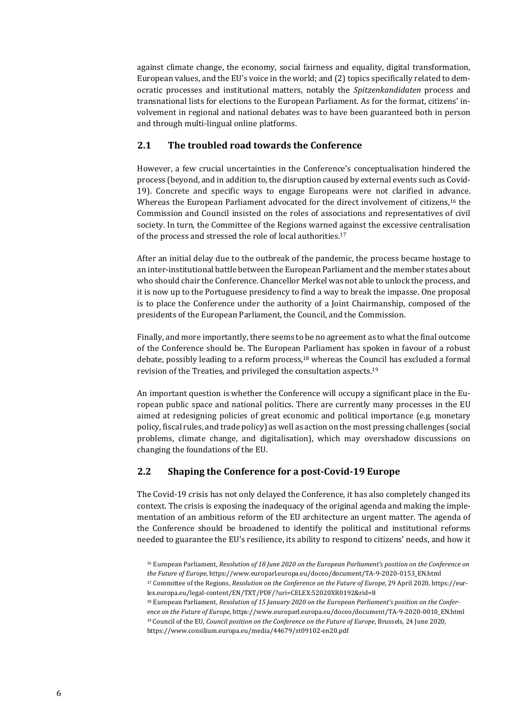against climate change, the economy, social fairness and equality, digital transformation, European values, and the EU's voice in the world; and (2) topics specifically related to democratic processes and institutional matters, notably the *Spitzenkandidaten* process and transnational lists for elections to the European Parliament. As for the format, citizens' involvement in regional and national debates was to have been guaranteed both in person and through multi-lingual online platforms.

# **2.1 The troubled road towards the Conference**

However, a few crucial uncertainties in the Conference's conceptualisation hindered the process (beyond, and in addition to, the disruption caused by external events such as Covid-19). Concrete and specific ways to engage Europeans were not clarified in advance. Whereas the European Parliament advocated for the direct involvement of citizens,<sup>16</sup> the Commission and Council insisted on the roles of associations and representatives of civil society. In turn, the Committee of the Regions warned against the excessive centralisation of the process and stressed the role of local authorities.<sup>17</sup>

After an initial delay due to the outbreak of the pandemic, the process became hostage to an inter-institutional battle between the European Parliament and the member states about who should chair the Conference. Chancellor Merkel was not able to unlock the process, and it is now up to the Portuguese presidency to find a way to break the impasse. One proposal is to place the Conference under the authority of a Joint Chairmanship, composed of the presidents of the European Parliament, the Council, and the Commission.

Finally, and more importantly, there seems to be no agreement as to what the final outcome of the Conference should be. The European Parliament has spoken in favour of a robust debate, possibly leading to a reform process,18 whereas the Council has excluded a formal revision of the Treaties, and privileged the consultation aspects.19

An important question is whether the Conference will occupy a significant place in the European public space and national politics. There are currently many processes in the EU aimed at redesigning policies of great economic and political importance (e.g. monetary policy, fiscal rules, and trade policy) as well as action on the most pressing challenges (social problems, climate change, and digitalisation), which may overshadow discussions on changing the foundations of the EU.

# **2.2 Shaping the Conference for a post‐Covid‐19 Europe**

The Covid-19 crisis has not only delayed the Conference, it has also completely changed its context. The crisis is exposing the inadequacy of the original agenda and making the implementation of an ambitious reform of the EU architecture an urgent matter. The agenda of the Conference should be broadened to identify the political and institutional reforms needed to guarantee the EU's resilience, its ability to respond to citizens' needs, and how it

<sup>16</sup> European Parliament, *Resolution of 18 June 2020 on the European Parliament's position on the Conference on the Future of Europe*, https://www.europarl.europa.eu/doceo/document/TA-9-2020-0153\_EN.html 17 Committee of the Regions, *Resolution on the Conference on the Future of Europe*, 29 April 2020, https://eur-

lex.europa.eu/legal-content/EN/TXT/PDF/?uri=CELEX:52020XR0192&rid=8

<sup>18</sup> European Parliament, *Resolution of 15 January 2020 on the European Parliament's position on the Confer‐ ence on the Future of Europe*, https://www.europarl.europa.eu/doceo/document/TA-9-2020-0010\_EN.html 19 Council of the EU, *Council position on the Conference on the Future of Europe*, Brussels, 24 June 2020, https://www.consilium.europa.eu/media/44679/st09102-en20.pdf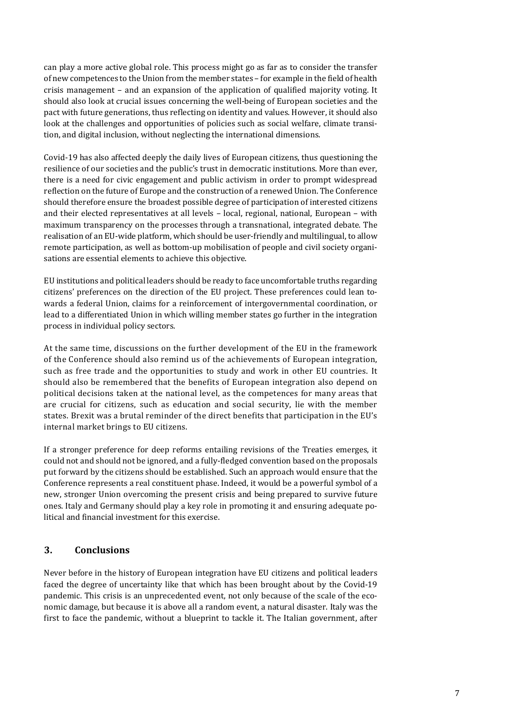can play a more active global role. This process might go as far as to consider the transfer of new competences to the Union from the member states – for example in the field of health crisis management – and an expansion of the application of qualified majority voting. It should also look at crucial issues concerning the well-being of European societies and the pact with future generations, thus reflecting on identity and values. However, it should also look at the challenges and opportunities of policies such as social welfare, climate transition, and digital inclusion, without neglecting the international dimensions.

Covid-19 has also affected deeply the daily lives of European citizens, thus questioning the resilience of our societies and the public's trust in democratic institutions. More than ever, there is a need for civic engagement and public activism in order to prompt widespread reflection on the future of Europe and the construction of a renewed Union. The Conference should therefore ensure the broadest possible degree of participation of interested citizens and their elected representatives at all levels – local, regional, national, European – with maximum transparency on the processes through a transnational, integrated debate. The realisation of an EU-wide platform, which should be user-friendly and multilingual, to allow remote participation, as well as bottom-up mobilisation of people and civil society organisations are essential elements to achieve this objective.

EU institutions and political leaders should be ready to face uncomfortable truths regarding citizens' preferences on the direction of the EU project. These preferences could lean towards a federal Union, claims for a reinforcement of intergovernmental coordination, or lead to a differentiated Union in which willing member states go further in the integration process in individual policy sectors.

At the same time, discussions on the further development of the EU in the framework of the Conference should also remind us of the achievements of European integration, such as free trade and the opportunities to study and work in other EU countries. It should also be remembered that the benefits of European integration also depend on political decisions taken at the national level, as the competences for many areas that are crucial for citizens, such as education and social security, lie with the member states. Brexit was a brutal reminder of the direct benefits that participation in the EU's internal market brings to EU citizens.

If a stronger preference for deep reforms entailing revisions of the Treaties emerges, it could not and should not be ignored, and a fully-fledged convention based on the proposals put forward by the citizens should be established. Such an approach would ensure that the Conference represents a real constituent phase. Indeed, it would be a powerful symbol of a new, stronger Union overcoming the present crisis and being prepared to survive future ones. Italy and Germany should play a key role in promoting it and ensuring adequate political and financial investment for this exercise.

# **3. Conclusions**

Never before in the history of European integration have EU citizens and political leaders faced the degree of uncertainty like that which has been brought about by the Covid-19 pandemic. This crisis is an unprecedented event, not only because of the scale of the economic damage, but because it is above all a random event, a natural disaster. Italy was the first to face the pandemic, without a blueprint to tackle it. The Italian government, after